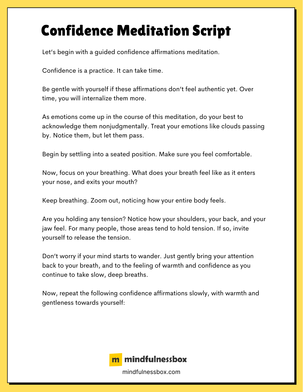## Confidence Meditation Script

Let's begin with a guided confidence affirmations meditation.

Confidence is a practice. It can take time.

Be gentle with yourself if these affirmations don't feel authentic yet. Over time, you will internalize them more.

As emotions come up in the course of this meditation, do your best to acknowledge them nonjudgmentally. Treat your emotions like clouds passing by. Notice them, but let them pass.

Begin by settling into a seated position. Make sure you feel comfortable.

Now, focus on your breathing. What does your breath feel like as it enters your nose, and exits your mouth?

Keep breathing. Zoom out, noticing how your entire body feels.

Are you holding any tension? Notice how your shoulders, your back, and your jaw feel. For many people, those areas tend to hold tension. If so, invite yourself to release the tension.

Don't worry if your mind starts to wander. Just gently bring your attention back to your breath, and to the feeling of warmth and confidence as you continue to take slow, deep breaths.

Now, repeat the following confidence affirmations slowly, with warmth and gentleness towards yourself:



mindfulnessbox.com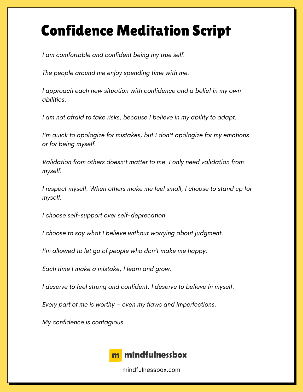## Confidence Meditation Script

*I am comfortable and confident being my true self.*

*The people around me enjoy spending time with me.*

*I approach each new situation with confidence and a belief in my own abilities.*

*I am not afraid to take risks, because I believe in my ability to adapt.*

*I'm quick to apologize for mistakes, but I don't apologize for my emotions or for being myself.*

*Validation from others doesn't matter to me. I only need validation from myself.*

*I respect myself. When others make me feel small, I choose to stand up for myself.*

*I choose self-support over self-deprecation.*

*I choose to say what I believe without worrying about judgment.*

*I'm allowed to let go of people who don't make me happy.*

*Each time I make a mistake, I learn and grow.*

*I deserve to feel strong and confident. I deserve to believe in myself.*

*Every part of me is worthy – even my flaws and imperfections.*

*My confidence is contagious.*



mindfulnessbox.com